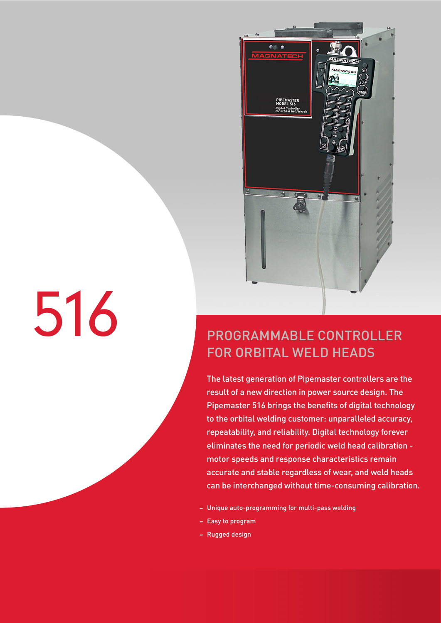

# 516

## PROGRAMMABLE CONTROLLER FOR ORBITAL WELD HEADS

The latest generation of Pipemaster controllers are the result of a new direction in power source design. The Pipemaster 516 brings the benefits of digital technology to the orbital welding customer: unparalleled accuracy, repeatability, and reliability. Digital technology forever eliminates the need for periodic weld head calibration motor speeds and response characteristics remain accurate and stable regardless of wear, and weld heads can be interchanged without time-consuming calibration.

- Unique auto-programming for multi-pass welding
- Easy to program
- Rugged design